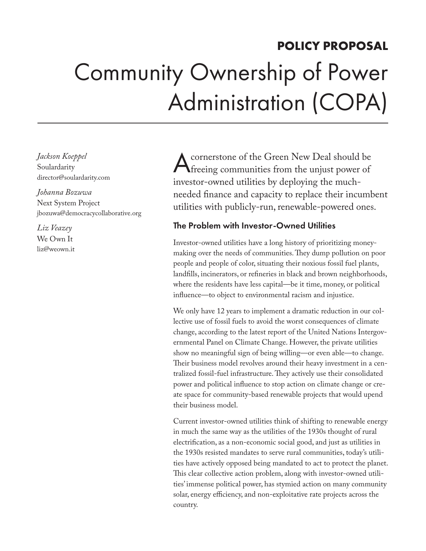## **POLICY PROPOSAL** Community Ownership of Power Administration (COPA)

*Jackson Koeppel*  Soulardarity director@soulardarity.com

*Johanna Bozuwa* Next System Project jbozuwa@democracycollaborative.org

*Liz Veazey* We Own It liz@weown.it

Acornerstone of the Green New Deal should be freeing communities from the unjust power of investor-owned utilities by deploying the muchneeded finance and capacity to replace their incumbent utilities with publicly-run, renewable-powered ones.

## The Problem with Investor-Owned Utilities

Investor-owned utilities have a long history of prioritizing moneymaking over the needs of communities. They dump pollution on poor people and people of color, situating their noxious fossil fuel plants, landfills, incinerators, or refineries in black and brown neighborhoods, where the residents have less capital—be it time, money, or political influence—to object to environmental racism and injustice.

We only have 12 years to implement a dramatic reduction in our collective use of fossil fuels to avoid the worst consequences of climate change, according to the latest report of the United Nations Intergovernmental Panel on Climate Change. However, the private utilities show no meaningful sign of being willing—or even able—to change. Their business model revolves around their heavy investment in a centralized fossil-fuel infrastructure. They actively use their consolidated power and political influence to stop action on climate change or create space for community-based renewable projects that would upend their business model.

Current investor-owned utilities think of shifting to renewable energy in much the same way as the utilities of the 1930s thought of rural electrification, as a non-economic social good, and just as utilities in the 1930s resisted mandates to serve rural communities, today's utilities have actively opposed being mandated to act to protect the planet. This clear collective action problem, along with investor-owned utilities' immense political power, has stymied action on many community solar, energy efficiency, and non-exploitative rate projects across the country.